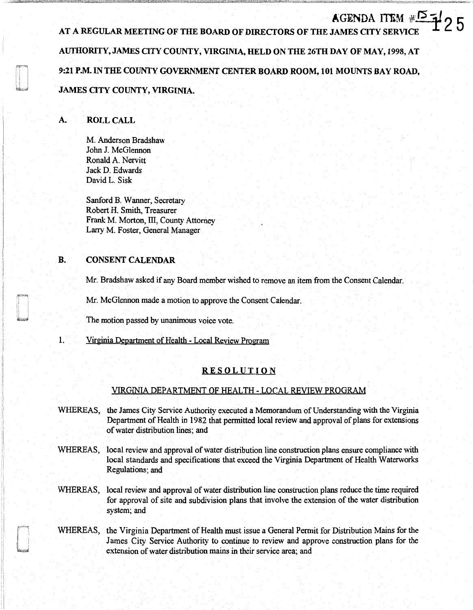AGENDA ITEM  $\#^{\sim}$ 7/25 AT A REGULAR MEETING OF THE BOARD OF DIRECTORS OF THE JAMES CITY SERVIC AUTHORITY, JAMES CITY COUNTY, VIRGINIA, HELD ON THE 26TH DAY OF MAY, 1998, AT 9:21 P.M. IN THE COUNTY GOVERNMENT CENTER BOARD ROOM, 101 MOUNTS BAY ROAD, JAMES CITY COUNTY, VIRGINIA.

# A. ROLL CALL

M. Anderson Bradshaw John J. McGlennon Ronald A. Nervitt Jack D. Edwards David L. Sisk

Sanford B. Wanner, Secretary Robert H. Smith, Treasurer Frank M. Morton, III, County Attorney Lany M. Foster, General Manager

# B. CONSENT CALENDAR

'I

J

Mr. Bradshaw asked if any Board member wished to remove an item from the Consent Calendar.

Mr. McGlennon made a motion to approve the Consent Calendar.

The motion passed by unanimous voice vote.

1. Virginia Department of Health - Local Review Program

## RESOLUTION

## VIRGINIA DEPARTMENT OF HEALTH - LOCAL REVIEW PROGRAM

- WHEREAS, the James City Service Authority executed a Memorandum of Understanding with the Virginia Department of Health in 1982 that permitted local review and approval of plans for extensions of water distribution lines; and
- WHEREAS, local review and approval of water distribution line construction plans ensure compliance with local standards and specifications that exceed the Virginia Department of Health Waterworks Regulations; and
- WHEREAS, local review and approval of water distribution line construction plans reduce the time required for approval of site and subdivision plans that involve the extension of the water distribution system; and
- WHEREAS, the Virginia Department of Health must issue a General Permit for Distribution Mains for the James City Service Authority to continue to review and approve construction plans for the extension of water distribution mains in their service area; and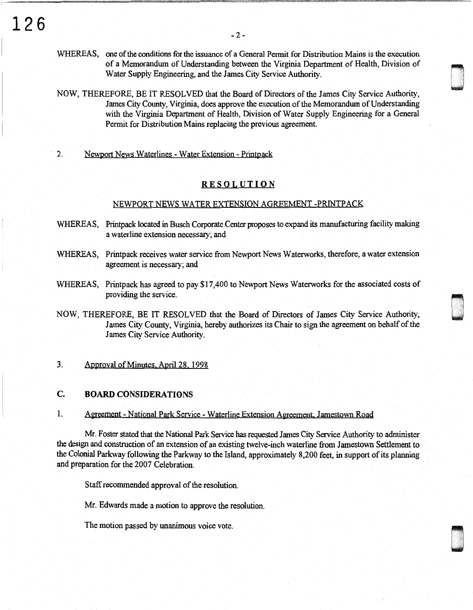- WHEREAS, one of the conditions for the issuance of a General Permit for Distribution Mains is the execution of a Memorandum of Understanding between the Virginia Department of Health, Division of Water Supply Engineering, and the James City Service Authority.
- NOW, THEREFORE, BE IT RESOLVED that the Board of Directors of the James City Service Authority, James City County, Virginia, does approve the execution of the Memorandum of Understanding with the Virginia Department of Health, Division of Water Supply Engineering for a General Permit for Distribution Mains replacing the previous agreement.

#### 2. Newport News Waterlines - Water Extension - Printpack

### **RESOLUTION**

#### NEWPORT NEWS WATER EXTENSION AGREEMENT -PRINTPACK

- WHEREAS, Printpack located in Busch Corporate Center proposes to expand its manufacturing facility making a waterline extension necessary; and
- WHEREAS, Printpack receives water service from Newport News Waterworks, therefore, a water extension agreement is necessary; and
- WHEREAS, Printpack has agreed to pay \$17 ,400 to Newport News Waterworks for the associated costs of providing the service.

**~~~~** lJ----\_·.·. I \_, I -

NOW, THEREFORE, BE IT RESOLVED that the Board of Directors of James City Service Authority, James City County, Virginia, hereby authorizes its Chair to sign the agreement on behalf of the James City Service Authority.

#### 3. Approval of Minutes April 28. 1998

## **C. BOARD CONSIDERATIONS**

1. Agreement- National Park Service - Waterline Extension Agreement. Jamestown Road

Mr. Foster stated that the National Park Service has requested James City Service Authority to administer the design and construction of an extension of an existing twelve-inch waterline from Jamestown Settlement to the Colonial Parkway following the Parkway to the Island, approximately 8,200 feet, in support of its planning and preparation for the 2007 Celebration.

Staff recommended approval of the resolution.

Mr. Edwards made a motion to approve the resolution.

The motion passed by unanimous voice vote.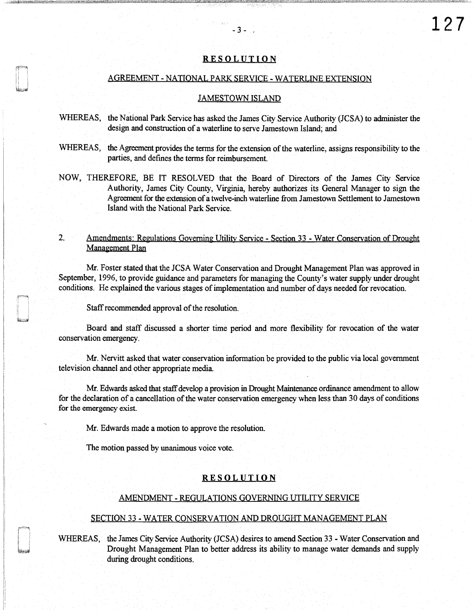#### **RESOLUTION**

- 3 - .

**127** 

#### AGREEMENT - NATIONAL PARK SERVICE - WATERLINE EXTENSION

#### JAMESTOWN ISLAND

- WHEREAS, the National Park Service has asked the James City Service Authority (JCSA) to administer the design and construction of a waterline to serve Jamestown Island; and
- WHEREAS, the Agreement provides the terms for the extension of the waterline, assigns responsibility to the parties, and defmes the terms for reimbursement.
- NOW, THEREFORE, BE IT RESOLVED that the Board of Directors of the James City Service Authority, James City County, Virginia, hereby authorizes its General Manager to sign the Agreement for the extension of a twelve-inch waterline from Jamestown Settlement to Jamestown Island with the National Park Service.

## 2. Amendments: Regulations Governing Utility Service - Section 33 - Water Conservation of Drought Management Plan

Mr. Foster stated that the JCSA Water Conservation and Drought Management Plan was approved in September, 1996, to provide guidance and parameters for managing the County's water supply under drought conditions. He explained the various stages of implementation and number of days needed for revocation.

Staff recommended approval of the resolution.

Board and staff discussed a shorter time period and more flexibility for revocation of the water conservation emergency.

Mr. Nervitt asked that water conservation information be provided to the public via local government television channel and other appropriate media.

Mr. Edwards asked that staff develop a provision in Drought Maintenance ordinance amendment to allow for the declaration of a cancellation of the water conservation emergency when less than 30 days of conditions for the emergency exist.

Mr. Edwards made a motion to approve the resolution.

The motion passed by unanimous voice vote.

#### RESOLUTION

#### AMENDMENT - REGULATIONS GOVERNING UTILITY SERVICE

#### SECTION 33 - WATER CONSERVATION AND DROUGHT MANAGEMENT PLAN

WHEREAS, the James City Service Authority (JCSA) desires to amend Section 33 - Water Conservation and Drought Management Plan to better address its ability to manage water demands and supply during drought conditions.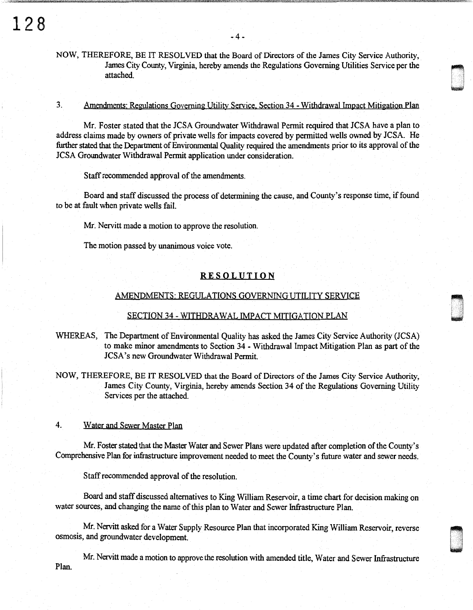# NOW, THEREFORE, BE IT RESOLVED that the Board of Directors of the James City Service Authority, James City County, Virginia, hereby amends the Regulations Governing Utilities Service per the attached attached. **In the contract of the contract of the contract of the contract of the contract of the contract of the contract of the contract of the contract of the contract of the contract of the contract of the contract of**

## 3. Amendments: Regulations Governing Utility Service, Section 34 - Withdrawal Impact Mitigation Plan

i .<br>I wana kutoka kutoka kutoka kutoka kutoka kutoka kutoka kutoka kutoka kutoka kutoka kutoka kutoka kutoka kutok

D -

Mr. Foster stated that the JCSA Groundwater Withdrawal Permit required that JCSA have a plan to address claims made by owners of private wells for impacts covered by permitted wells owned by JCSA. He further stated that the Department of Environmental Quality required the amendments prior to its approval of the JCSA Groundwater Withdrawal Permit application under consideration.

Staff recommended approval of the amendments.

Board and staff discussed the process of determining the cause, and County's response time, if found to be at fault when private wells fail.

Mr. Nervitt made a motion to approve the resolution.

The motion passed by unanimous voice vote.

## RESOLUTION

#### AMENDMENTS· REGULATIONS GOVERNING UTILITY SERVICE

#### SECTION 34 - WJTHDRA WAL IMPACT MITIGATION PLAN

WHEREAS, The Department of Environmental Quality has asked the James City Service Authority (JCSA) to make minor amendments to Section 34 - Withdrawal Impact Mitigation Plan as part of the JCSA's new Groundwater Withdrawal Permit.

NOW, THEREFORE, BE IT RESOLVED that the Board of Directors of the James City Service Authority, James City County, Virginia, hereby amends Section 34 of the Regulations Governing Utility Services per the attached.

### 4. Water and Sewer Master Plan

Mr. Foster stated that the Master Water and Sewer Plans were updated after completion of the County's Comprehensive Plan for infrastructure improvement needed to meet the County's future water and sewer needs.

Staff recommended approval of the resolution.

Board and staff discussed alternatives to King William Reservoir, a time chart for decision making on water sources, and changing the name of this plan to Water and Sewer Infrastructure Plan.

Mr. Nervitt asked for a Water Supply Resource Plan that incorporated King William Reservoir, reverse osmosis, and groundwater development.

Mr. Nervitt made a motion to approve the resolution with amended title, Water and Sewer Infrastructure Plan.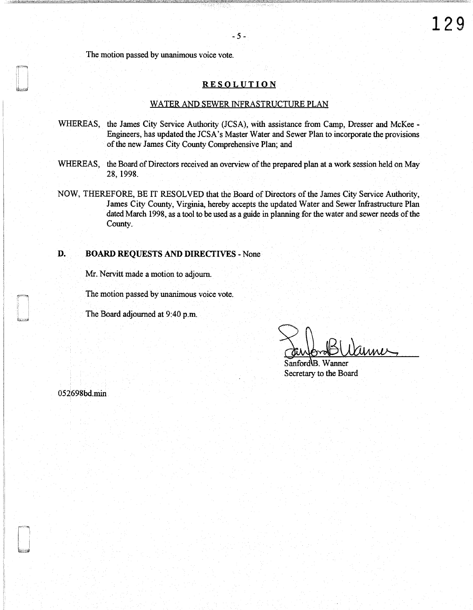The motion passed by unanimous voice vote.

#### **RESOLUTION**

#### WATER AND SEWER INFRASTRUCTURE PLAN

- WHEREAS, the James City Service Authority (JCSA), with assistance from Camp, Dresser and McKee Engineers, has updated the JCSA's Master Water and Sewer Plan to incorporate the provisions of the new James City County Comprehensive Plan; and
- WHEREAS, the Board of Directors received an overview of the prepared plan at a work session held on May 28, 1998.
- NOW, THEREFORE, BE IT RESOLVED that the Board of Directors of the James City Service Authority, James City County, Virginia, hereby accepts the updated Water and Sewer Infrastructure Plan dated March 1998, as a tool to be used as a guide in planning for the water and sewer needs of the County.

## **D. BOARD** REQUESTS AND DIRECTIVES - None

Mr. Nervitt made a motion to adjourn.

The motion passed by unanimous voice vote.

The Board adjourned at 9:40 p.m.

Sanford B. Wanner Secretary to the Board

052698bd.min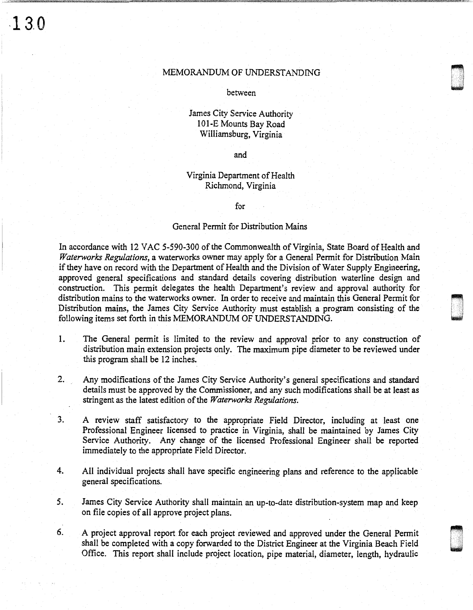**,13.0** 

### MEMORANDUM OF UNDERSTANDING

n under<br>Den under den under den Stadt der den Europäiskop<br>Den under den under den Stadt den Under den Europäiskop<br>Den under den under den Stadt den Europäiskop<br>Den under den under den Europäiskop

u . .

between

# James City Service Authority 101-E Mounts Bay Road Williamsburg, Virginia

and

# Virginia Department of Health Richmond, Virginia

for

#### General Permit for Distribution Mains

In accordance with 12 VAC 5-590-300 of the Commonwealth of Virginia, State Board of Health and *Waterworks Regulations,* a waterworks owner may apply for a General Permit for Distribution Main if they have on record with the Department of Health and the Division of Water Supply Engineering, approved general specifications and standard details covering distribution waterline design and construction. This permit delegates the health Department's review and approval authority for distribution mains to the waterworks owner. In order to receive and maintain this General Permit for Distribution mains, the James City Service Authority must establish a program consisting of the following items set forth in this MEMORANDUM OF UNDERSTANDING.

- 1. The General permit is limited to the review and approval prior to any construction of distribution main extension projects only. The maximum pipe diameter to be reviewed under this program shall be 12 inches.
- 2. Any modifications of the James City Service Authority's general specifications and standard details must be approved by the Commissioner, and any such modifications shall be at least as stringent as the latest edition of the *Waterworks Regulations.*
- 3. A review staff satisfactory to the appropriate Field Director, including at least one Professional Engineer licensed to practice in Virginia, shall be maintained by James City Service Authority. Any change of the licensed Professional Engineer shall be reported immediately to the appropriate Field Director.
- 4. All individual projects shall have specific engineering plans and reference to the applicable general specifications.
- *5.* James City Service Authority shall maintain an up-to-date distribution-system map and keep on file copies of all approve project plans.
- 6. A project approval report for each project reviewed and approved under the General Permit shall be completed with a copy forwarded to the District Engineer at the Virginia Beach Field Office. This report shall include project location, pipe material, diameter, length, hydraulic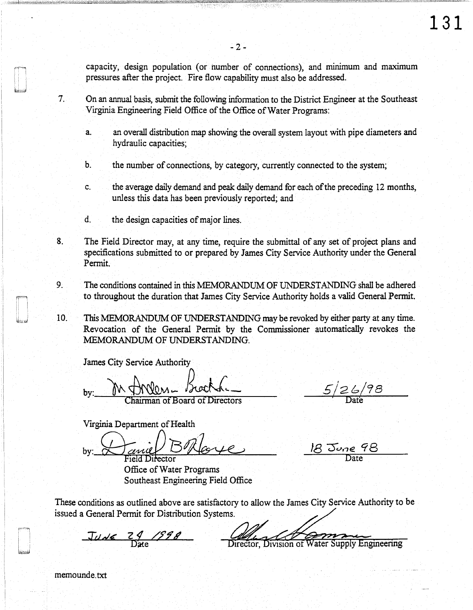capacity, design population (or number of connections), and minimum and maximum pressures after the project. Fire flow capability must also be addressed.

-2-

7. On an annual basis, submit the following information to the District Engineer at the Southeast Virginia Engineering Field Office of the Office of Water Programs:

- a. an overall distribution map showing the overall system layout with pipe diameters and hydraulic capacities;
- b. the number of connections, by category, currently connected to the system;
- c. the average daily demand and peak daily demand for each of the preceding 12 months, unless this data has been previously reported; and
- d. the design capacities of major lines.
- 8. The Field Director may, at any time, require the submittal of any set of project plans and specifications submitted to or prepared by James City Service Authority under the General Permit.
- 9. The conditions contained in this MEMORANDUM OF UNDERSTANDING shall be adhered to throughout the duration that James City Service Authority holds a valid General Permit.
- 10. This MEMORANDUM OF UNDERSTANDING may be revoked by either party at any time. Revocation of the General Permit by the Commissioner automatically revokes the :MEMORANDUM OF UNDERSTANDING.

James City Service Authority

by: M Man Lock

Virginia Department of Health

by: Daniel BRloye

Office of Water Programs Southeast Engineering Field Office

 $5/26/98$ 

18 June 98

These conditions as outlined above are satisfactory to allow the James City Service Authority to be issued a General Permit for Distribution Systems.

 $Jude$   $29/598$ Division of Water Supply Engineering Director.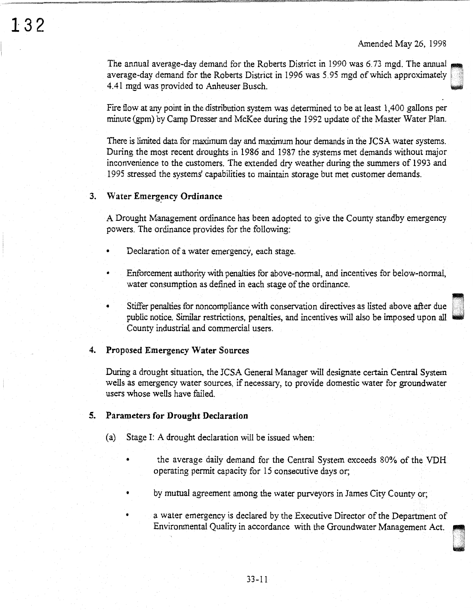The annual average-day demand for the Roberts District in 1990 was 6.73 mgd. The annual average-day demand for the Roberts District in 1996 was 5.95 mgd of which approximately 4.41 mgd was provided to Anheuser Busch.

Fire flow at any point in the distribution system was determined to be at least 1,400 gallons per minute (gpm) by Camp Dresser and McKee during the 1992 update of the Master Water Plan.

There is limited data for maximum day and maximum hour demands in the JCSA water systems. During the most recent droughts in 1986 and 1987 the systems met demands without major inconvenience to the customers. The extended dry weather during the summers of 1993 and 1995 stressed the systems' capabilities to maintain storage but met customer demands.

## 3. Water Emergency Ordinance

132

A Drought Management ordinance has been adopted to give the County standby emergency powers. The ordinance provides for the following:

- Declaration of a water emergency, each stage.
- Enforcement authority with penalties for above-normal, and incentives for below-normal, water consumption as defined in each stage of the ordinance.
- Stiffer penalties for noncompliance with conservation directives as listed above after due public notice. Similar restrictions, penalties, and incentives will also be imposed upon all County industrial and commercial users.

#### 4. Proposed Emergency Water Sources

During a drought situation, the JCSA General Manager will designate certain Central System wells as emergency water sources, if necessary, to provide domestic water for groundwater users whose wells have failed.

### 5. Parameters for Drought Declaration

- (a) Stage I: A drought declaration will be issued when:
	- the average daily demand for the Central System exceeds 80% of the VDH operating pennit capacity for 15 consecutive days or;
		- by mutual agreement among the water purveyors in James City County or;
	- a water emergency is declared by the Executive Director of the Department of Environmental Quality in accordance with the Groundwater Management Act.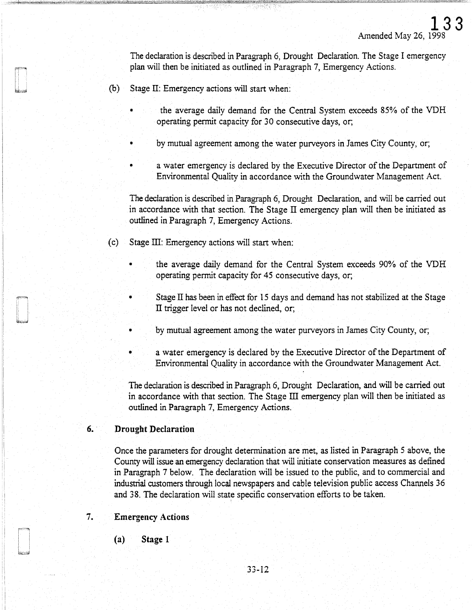The declaration is described in Paragraph 6, Drought Declaration. The Stage I emergency plan will then be initiated as outlined in Paragraph 7, Emergency Actions.

- (b) Stage II: Emergency actions will start when:
	- the average daily demand for the Central System exceeds 85% of the VDH operating permit capacity for 30 consecutive days, or;
	- by mutual agreement among the water purveyors in James City County, or;
	- a water emergency is declared by the Executive Director of the Department of Environmental Quality in accordance with the Groundwater Management Act.

The declaration is described in Paragraph 6, Drought Declaration, and will be carried out in accordance with that section. The Stage  $\Pi$  emergency plan will then be initiated as outlined in Paragraph 7, Emergency Actions.

(c) Stage  $III$ : Emergency actions will start when:

- the average daily demand for the Central System exceeds 90% of the VDH operating permit capacity for 45 consecutive days, or;
- Stage  $\Pi$  has been in effect for 15 days and demand has not stabilized at the Stage II trigger level or has not declined, or;
- by mutual agreement among the water purveyors in James City County, or;
- a water emergency is declared by the Executive Director of the Department of Environmental Quality in accordance with the Groundwater Management Act.

The declaration is described in Paragraph 6, Drought Declaration, and will be carried out in accordance with that section. The Stage  $III$  emergency plan will then be initiated as outlined in Paragraph 7, Emergency Actions.

# 6. Drought Declaration

Once the parameters for drought determination are met, as listed in Paragraph 5 above, the County will issue an emergency declaration that will initiate conservation measures as defined in Paragraph 7 below. The declaration will be issued to the public, and to commercial and industrial customers through local newspapers and cable television public access Channels 36 and 38. The declaration will state specific conservation efforts to be taken.

## 7. Emergency Actions

(a) Stage 1

J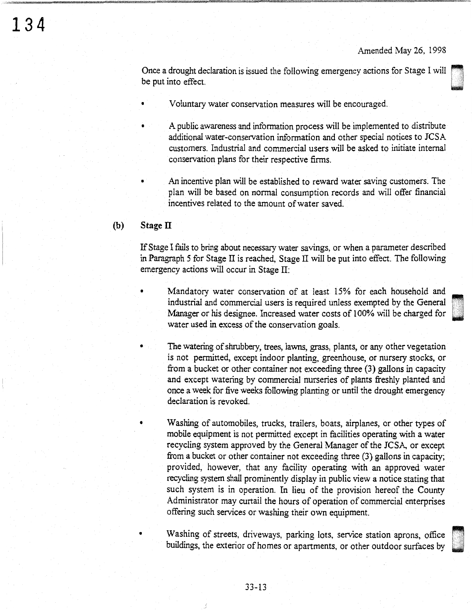u<br>u .<br>u . .

Once a drought declaration is issued the following emergency actions for Stage I will be put into effect.

- Voluntary water conservation measures will be encouraged.
- A public awareness and information process will be implemented to distribute additional water-conservation information and other special notices to JCSA customers. Industrial and commercial users will be asked to initiate internal conservation plans for their respective firms.
- An incentive plan will be established to reward water saving customers. The plan will be based on normal consumption records and will offer financial incentives related to the amount of water saved.

## **(b) Stage** II

If Stage I fails to bring about necessary water savings, or when a parameter described in Paragraph 5 for Stage II is reached, Stage II will be put into effect. The following emergency actions will occur in Stage II:

- Mandatory water conservation of at least 15% for each household and industrial and commercial users is required unless exempted by the General Manager or his designee. Increased water costs of 100% will be charged for water used in excess of the conservation goals.
	- The watering of shrubbery, trees, lawns, grass, plants, or any other vegetation is not permitted, except indoor planting, greenhouse, or nursery stocks, or from a bucket or other container not exceeding three (3) gallons in capacity and except watering by commercial nurseries of plants freshly planted and once a week for five weeks following planting or until the drought emergency declaration is revoked.

• Washing of automobiles, trucks, trailers, boats, airplanes, or other types of mobile equipment is not permitted except in facilities operating with a water recycling system approved by the General Manager of the JCSA, or except from a bucket or other container not exceeding three (3) gallons in capacity; provided, however, that any facility operating with an approved water recycling system shall prominently display in public view a notice stating that such system is in operation. In lieu of the provision hereof the County Administrator may curtail the hours of operation of commercial enterprises offering such services or washing their own equipment.

Washing of streets, driveways, parking lots, service station aprons, office buildings, the exterior of homes or apartments, or other outdoor surfaces by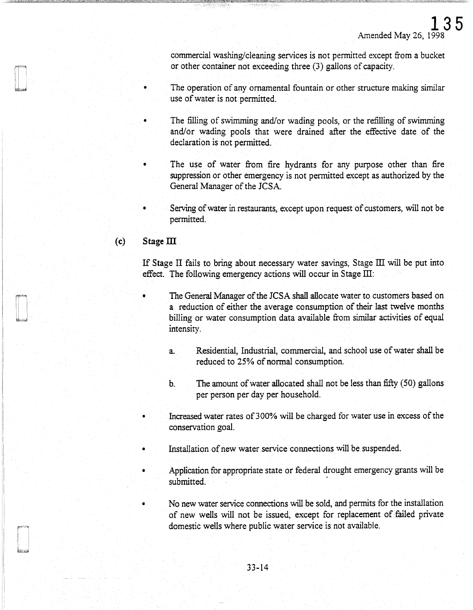commercial washing/cleaning services is not permitted except from a bucket or other container not exceeding three (3) gallons of capacity.

The operation of any ornamental fountain or other structure making similar use of water is not permitted.

- The filling of swimming and/or wading pools, or the refilling of swimming and/or wading pools that were drained after the effective date of the declaration is not permitted.
- The use of water from fire hydrants for any purpose other than fire suppression or other emergency is not permitted except as authorized by the General Manager of the JCSA.
- Serving of water in restaurants, except upon request of customers, will not be permitted.

# (c) **Stageill**

If Stage II fails to bring about necessary water savings, Stage III will be put into effect. The following emergency actions will occur in Stage III:

- The General Manager of the JCSA shall allocate water to customers based on a reduction of either the average consumption of their last twelve months billing or water consumption data available from similar activities of equal intensity.
	- a. Residential, Industrial, commercial, and school use of water shall be reduced to 25% of normal consumption.
	- b. The amount of water allocated shall not be less than fifty (50) gallons per person per day per household.
- Increased water rates of 300% will be charged for water use in excess of the conservation goal.
- Installation of new water service connections will be suspended.
- Application for appropriate state or federal drought emergency grants will be submitted.
	- No new water service connections will be sold, and permits for the installation of new wells will not be issued, except for replacement of failed private domestic wells where public water service is not available.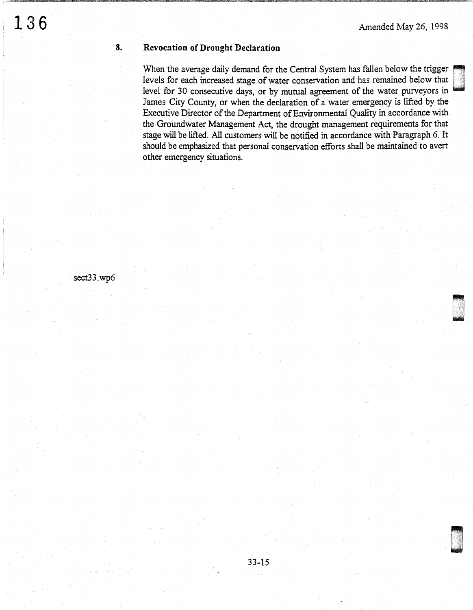# **Revocation of Drought Declaration**

When the average daily demand for the Central System has fallen below the trigger levels for each increased stage of water conservation and has remained below that level for 30 consecutive days, or by mutual agreement of the water purveyors in James City County, or when the declaration of a water emergency is lifted by the Executive Director of the Department of Environmental Quality in accordance with the Groundwater Management Act, the drought management requirements for that stage will be lifted. All customers will be notified in accordance with Paragraph 6. It should be emphasized that personal conservation efforts shall be maintained to avert other emergency situations.

sect33.wp6

**8.**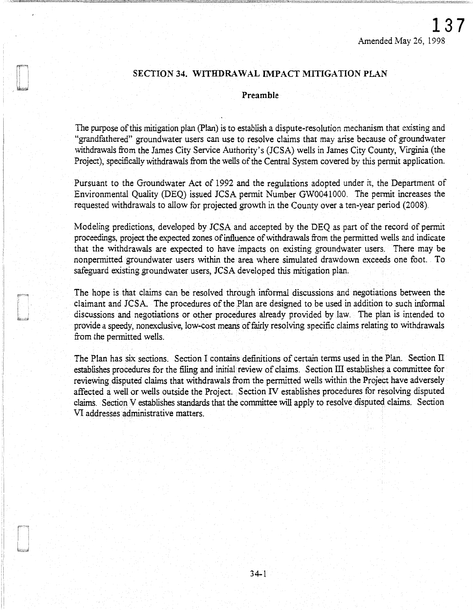# SECTION 34. WITHDRAWAL IMPACT MITIGATION PLAN

## Preamble

The purpose of this mitigation plan (Plan) is to establish a dispute-resolution mechanism that existing and "grandfathered" groundwater users can use to resolve claims that may arise because of groundwater withdrawals from the James City Service Authority's (JCSA) wells in James City County, Virginia (the Project), specifically withdrawals from the wells of the Central System covered by this pennit application.

Pursuant to the Groundwater Act of 1992 and the regulations adopted under it, the Department of Environmental Quality (DEQ) issued JCSA pennit Number GW0041000. The pennit increases the requested withdrawals to allow for projected growth in the County over a ten-year period (2008).

Modeling predictions, developed by JCSA and accepted by the DEQ as part of the record of permit proceedings, project the expected zones of influence of withdrawals from the pennitted wells and indicate that the withdrawals are expected to have impacts on existing groundwater users. There may be nonpennitted groundwater users within the area where simulated drawdown exceeds one foot. To safeguard existing groundwater users, JCSA developed this mitigation plan.

The hope is that claims can be resolved through informal discussions and negotiations between the claimant and JCSA. The procedures of the Plan are designed to be used in addition to such informal discussions and negotiations or other procedures already provided by law. The plan is intended to provide a speedy, nonexclusive, low-cost means of fairly resolving specific claims relating to withdrawals from the pennitted wells.

The Plan has six sections. Section I contains definitions of certain terms used in the Plan. Section II establishes procedures for the filing and initial review of claims. Section III establishes a committee for reviewing disputed claims that withdrawals from the permitted wells within the Project have adversely affected a well or wells outside the Project. Section IV establishes procedures for resolving disputed claims. Section V establishes standards that the committee will apply to resolve disputed claims. Section VI addresses administrative matters.

 $\mathfrak{g}_{\mathfrak{g}}$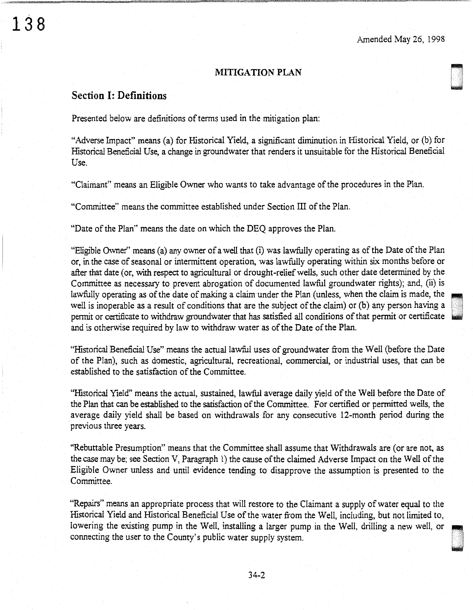0 .

.

# MITIGATION PLAN

# Section I: Definitions

138

Presented below are definitions of terms used in the mitigation plan:

"Adverse Impact" means (a) for Historical Yield, a significant diminution in Historical Yield, or (b) for Historical Beneficial Use, a change in groundwater that renders it unsuitable for the Historical Beneficial Use.

"Claimant" means an Eligible Owner who wants to take advantage of the procedures in the Plan.

"Committee" means the committee established under Section ill of the Plan.

"Date of the Plan" means the date on which the DEQ approves the Plan.

"Eligible Owner'' means (a) any owner of a well that (i) was lawfully operating as of the Date of the Plan or, in the case of seasonal or intermittent operation, was lawfully operating within six months before or after that date (or, with respect to agricultural or drought-relief wells, such other date determined by the Committee as necessary to prevent abrogation of documented lawful groundwater rights); and, (ii) is lawfully operating as of the date of making a claim under the Plan (unless, when the claim is made, the well is inoperable as a result of conditions that are the subject of the claim) or (b) any person having a permit or certificate to withdraw groundwater that has satisfied all conditions of that permit or certificate and is otherwise required by law to withdraw water as of the Date of the Plan.

"Historical Beneficial Use'' means the actual lawful uses of groundwater from the Well (before the Date of the Plan), such as domestic, agricultural, recreational, commercial, or industrial uses, that can be established to the satisfaction of the Committee.

"Historical Yield" means the actual, sustained, lawful average daily yield of the Well before the Date of the Plan that can be established to the satisfaction of the Committee. For certified or permitted wells, the average daily yield shall be based on withdrawals for any consecutive 12-month period during the previous three years.

"Rebuttable Presumption" means that the Committee shall assume that Withdrawals are (or are not, as the case may be; see Section V, Paragraph I) the cause of the claimed Adverse Impact on the Well of the Eligible Owner unless and until evidence tending to disapprove the assumption is presented to the Committee.

"Repairs" means an appropriate process that will restore to the Claimant a supply of water equal to the Historical Yield and Historical Beneficial Use of the water from the Well, including, but not limited to, lowering the Historical Yield and Historical Beneficial Use of the water from the Well, including, but not limited to, connecting the user to the County's public water supply system.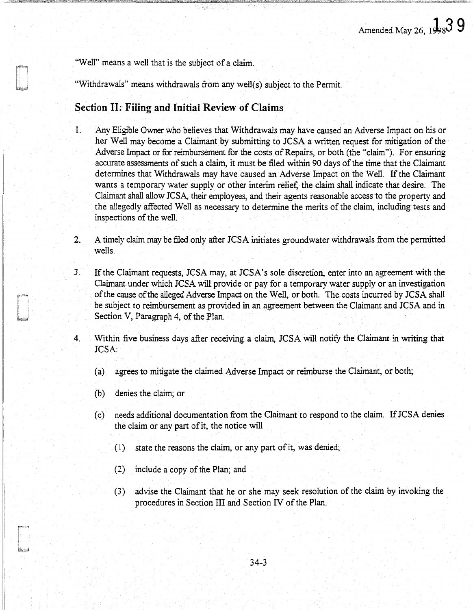"Well" means a well that is the subject of a claim.

"Withdrawals" means withdrawals from any well(s) subject to the Permit.

# **Section II: Filing and Initial Review of Claims**

- 1. Any Eligible Owner who believes that Withdrawals may have caused an Adverse Impact on his or her Well may become a Claimant by submitting to JCSA a written request for mitigation of the Adverse Impact or for reimbursement for the costs of Repairs, or both (the "claim"). For ensuring accurate assessments of such a claim, it must be filed within 90 days of the time that the Claimant determines that Withdrawals may have caused an Adverse Impact on the Well. If the Claimant wants a temporary water supply or other interim relief, the claim shall indicate that desire. The Claimant shall allow JCSA, their employees, and their agents reasonable access to the property and the allegedly affected Well as necessary to determine the merits of the claim, including tests and inspections of the well.
- 2. A timely claim may be filed only after JCSA initiates groundwater withdrawals from the permitted wells.
- 3. If the Claimant requests, JCSA may, at JCSA' s sole discretion, enter into an agreement with the Claimant under which JCSA will provide or pay for a temporary water supply or an investigation of the cause of the alleged Adverse Impact on the Well, or both. The costs incurred by JCSA shall be subject to reimbursement as provided in an agreement between the Claimant and JCSA and in Section V, Paragraph 4, of the Plan.
- 4. Within five business days after receiving a claim, JCSA will notify the Claimant in writing that JCSA:
	- (a) agrees to mitigate the claimed Adverse Impact or reimburse the Claimant, or both;
	- (b) denies the claim; or
	- ( c) needs additional documentation from the Claimant to respond to the claim. If JCSA denies the claim or any part of it, the notice will
		- ( 1) state the reasons the claim, or any part of it, was denied;
		- (2) include a copy of the Plan; and
		- (3) advise the Claimant that he or she may seek resolution of the claim by invoking the procedures in Section III and Section IV of the Plan.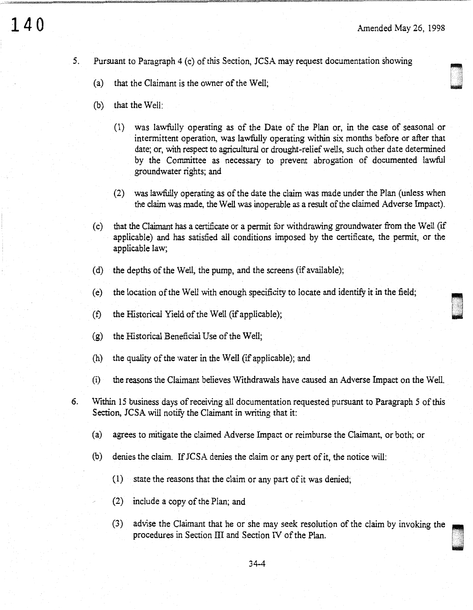- 5. Pursuant to Paragraph 4 (c) of this Section, JCSA may request documentation showing
	- (a) that the Claimant is the owner of the Well;
	- (b) that the Well:
		- (1) was lawfully operating as of the Date of the Plan or, in the case of seasonal or intermittent operation, was lawfully operating within six months before or after that date; or, with respect to agricultural or drought-relief wells, such other date determined by the Committee as necessary to prevent abrogation of documented lawful groundwater rights; and
		- (2) was lawfully operating as of the date the claim was made under the Plan (unless when the claim was made, the Well was inoperable as a result of the claimed Adverse Impact).
	- ( c) that the Claimant has a certificate or a permit for withdrawing groundwater from the Well (if applicable) and has satisfied all conditions imposed by the certificate, the permit, or the applicable law;
	- (d) the depths of the Well, the pump, and the screens (if available);
	- (e) the location of the Well with enough specificity to locate and identify it in the field;
	- $(t)$  the Historical Yield of the Well (if applicable);
	- (g) the Historical Beneficial Use of the Well;
	- (h) the quality of the water in the Well (if applicable); and
	- (i) the reasons the Claimant believes Withdrawals have caused an Adverse Impact on the Well.
- 6. Within 15 business days ofreceiving all documentation requested pursuant to Paragraph 5 of this Section, JCSA will notify the Claimant in writing that it:
	- (a) agrees to mitigate the claimed Adverse Impact or reimburse the Claimant, or both; or
	- (b) denies the claim. If JCSA denies the claim or any pert of it, the notice will:
		- $(1)$  state the reasons that the claim or any part of it was denied;
		- (2) include a copy of the Plan; and
		- $(3)$  advise the Claimant that he or she may seek resolution of the claim by invoking the procedures in Section III and Section IV of the Plan.

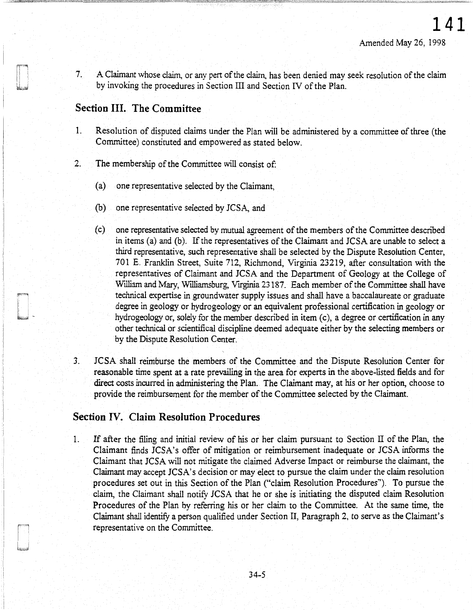7. A Claimant whose claim, or any pert of the claim, has been denied may seek resolution of the claim by invoking the procedures in Section III and Section IV of the Plan.

# **Section** III. **The Committee**

- 1. Resolution of disputed claims under the Plan will be administered by a committee of three (the Committee) constituted and empowered as stated below.
- 2. The membership of the Committee will consist of:
	- (a) one representative selected by the Claimant,
	- (b) one representative selected by JCSA, and
	- ( c) one representative selected by mutual agreement of the members of the Committee described in items (a) and (b). If the representatives of the Claimant and JCSA are unable to select a third representative, such representative shall be selected by the Dispute Resolution Center, 701 E. Franklin Street, Suite 712, Richmond, Virginia 23219, after consultation with the representatives of Claimant and JCSA and the Department of Geology at the College of William and Mary, Williamsburg, Virginia 23187. Each member of the Committee shall have technical expertise in groundwater supply issues and shall have a baccalaureate or graduate degree in geology or hydrogeology or an equivalent professional certification in geology or hydrogeology or, solely for the member described in item (c), a degree or certification in any other technical or scientifical discipline deemed adequate either by the selecting members or by the Dispute Resolution Center.
- 3. JCSA shall reimburse the members of the Committee and the Dispute Resolution Center for reasonable time spent at a rate prevailing in the area for experts in the above-listed fields and for direct costs incurred in administering the Plan. The Claimant may, at his or her option, choose to provide the reimbursement for the member of the Committee selected by the Claimant.

# **Section** IV. **Claim Resolution Procedures**

J

1. If after the filing and initial review of his or her claim pursuant to Section II of the Plan, the Claimant finds JCSA's offer of mitigation or reimbursement inadequate or JCSA informs the Claimant that JCSA will not mitigate the claimed Adverse Impact or reimburse the claimant, the Claimant may accept JCSA' s decision or may elect to pursue the claim under the claim resolution procedures set out in this Section of the Plan ("claim Resolution Procedures"). To pursue the claim, the Claimant shall notify JCSA that he or she is initiating the disputed claim Resolution Procedures of the Plan by referring his or her claim to the Committee. At the same time, the Claimant shall identify a person qualified under Section II, Paragraph 2, to serve as the Claimant's representative on the Committee.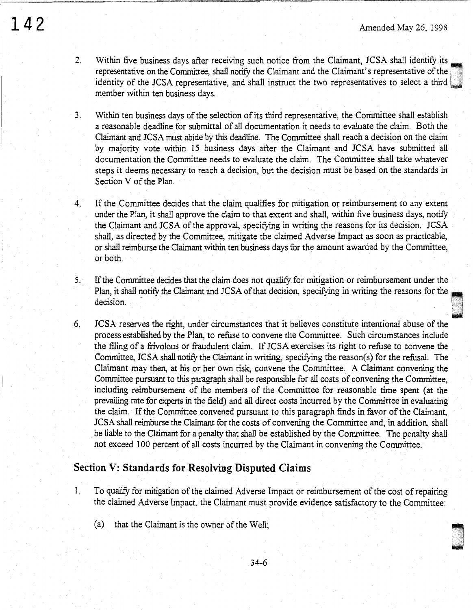- 2. Within five business days after receiving such notice from the Claimant, JCSA shall identify its representative on the Committee, shall notify the Claimant and the Claimant's representative of the identity of the JCSA representative, and shall instruct the two representatives to select a third member within ten business days.
- 3. Within ten business days of the selection of its third representative, the Committee shall establish a reasonable deadline for submittal of all documentation it needs to evaluate the claim. Both the Claimant and JCSA must abide by this deadline. The Committee shall reach a decision on the claim by majority vote within 15 business days after the Claimant and JCSA have submitted all documentation the Committee needs to evaluate the claim. The Committee shall take whatever steps it deems necessary to reach a decision, but the decision must be based on the standards in Section V of the Plan.
- 4. If the Committee decides that the claim qualifies for mitigation or reimbursement to any extent under the Plan, it shall approve the claim to that extent and shall, within five business days, notify the Claimant and JCSA of the approval, specifying in writing the reasons for its decision. JCSA shall, as directed by the Committee, mitigate the claimed Adverse Impact as soon as practicable, or shall reimburse the Claimant within ten business days for the amount awarded by the Committee, or both.
- 5. If the Committee decides that the claim does not qualify for mitigation or reimbursement under the If the Committee decides that the claim does not qualify for mitigation or reimbursement under the Plan, it shall notify the Claimant and JCSA of that decision, specifying in writing the reasons for the decision.
- 6. JCSA reserves the right, under circumstances that it believes constitute intentional abuse of the process established by the Plan, to refuse to convene the Committee. Such circumstances include the filing of a frivolous or fraudulent claim. If JCSA exercises its right to refuse to convene the Committee, JCSA shall notify the Claimant in writing, specifying the reason(s) for the refusal. The Claimant may then, at his or her own risk, convene the Committee. A Claimant convening the Committee pursuant to this paragraph shall be responsible for all costs of convening the Committee, including reimbursement of the members of the Committee for reasonable time spent (at the prevailing rate for experts in the field) and all direct costs incurred by the Committee in evaluating the claim. If the Committee convened pursuant to this paragraph finds in favor of the Claimant, JCSA shall reimburse the Claimant for the costs of convening the Committee and, in addition, shall be liable to the Claimant for a penalty that shall be established by the Committee. The penalty shall not exceed 100 percent of all costs incurred by the Claimant in convening the Committee.

# **Section V: Standards for Resolving Disputed Claims**

- 1. To qualify for mitigation of the claimed Adverse Impact or reimbursement of the cost of repairing the claimed Adverse Impact, the Claimant must provide evidence satisfactory to the Committee:
	- (a) that the Claimant is the owner of the Well;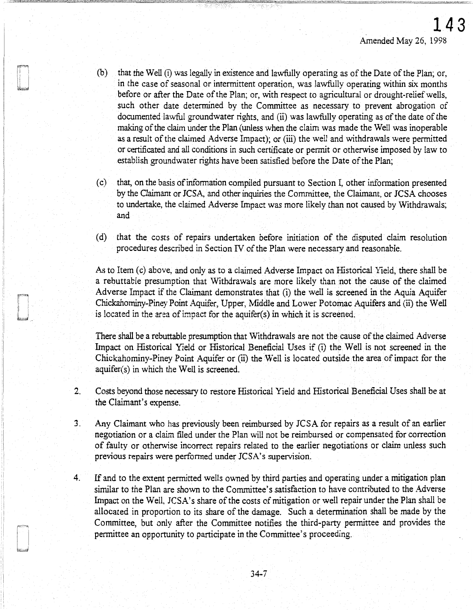- (b) that the Well (i) was legally in existence and lawfully operating as of the Date of the Plan; or, in the case of seasonal or intermittent operation, was lawfully operating within six months before or after the Date of the Plan; or, with respect to agricultural or drought-relief wells, such other date determined by the Committee as necessary to prevent abrogation of documented lawful groundwater rights, and (ii) was lawfully operating as of the date of the making of the claim under the Plan (unless when the claim was made the Well was inoperable as a result of the claimed Adverse Impact); or (iii) the well and withdrawals were permitted or certificated and all conditions in such certificate or permit or otherwise imposed by law to establish groundwater rights have been satisfied before the Date of the Plan;
- (c) that, on the basis of information compiled pursuant to Section I, other information presented by the Claimant or JCSA, and other inquiries the Committee, the Claimant, or JCSA chooses to undertake, the claimed Adverse Impact was more likely than not caused by Withdrawals; and
- ( d) that the costs of repairs undertaken before initiation of the disputed claim resolution procedures described in Section IV of the Plan were necessary and reasonable.

As to Item (c) above, and only as to a claimed Adverse Impact on Historical Yield, there shall be a rebuttable presumption that Withdrawals are more likely than not the cause of the claimed Adverse Impact if the Claimant demonstrates that (i) the well is screened in the Aquia Aquifer Chickahominy-Piney Point Aquifer, Upper, Middle and Lower Potomac Aquifers and (ii) the Well is located in the area of impact for the aquifer(s) in which it is screened.

There shall be a rebuttable presumption that Withdrawals are not the cause of the claimed Adverse Impact on Historical Yield or Historical Beneficial Uses if (i) the Well is not screened in the Chickahominy-Piney Point Aquifer or (ii) the Well is located outside the area of impact for the aquifer(s) in which the Well is screened.

- 2. Costs beyond those necessary to restore Historical Yield and Historical Beneficial Uses shall be at the Claimant's expense.
- 3. Any Claimant who has previously been reimbursed by JCSA for repairs as a result of an earlier negotiation or a claim filed under the Plan will not be reimbursed or compensated for correction of faulty or otherwise incorrect repairs related to the earlier negotiations or claim unless such previous repairs were performed under JCSA's supervision.
- 4. If and to the extent permitted wells owned by third parties and operating under a mitigation plan similar to the Plan are shown to the Committee's satisfaction to have contributed to the Adverse Impact on the Well, JCSA's share of the costs of mitigation or well repair under the Plan shall be allocated in proportion to its share of the damage. Such a determination shall be made by the Committee, but only after the Committee notifies the third-party permittee and provides the permittee an opportunity to participate in the Committee's proceeding.